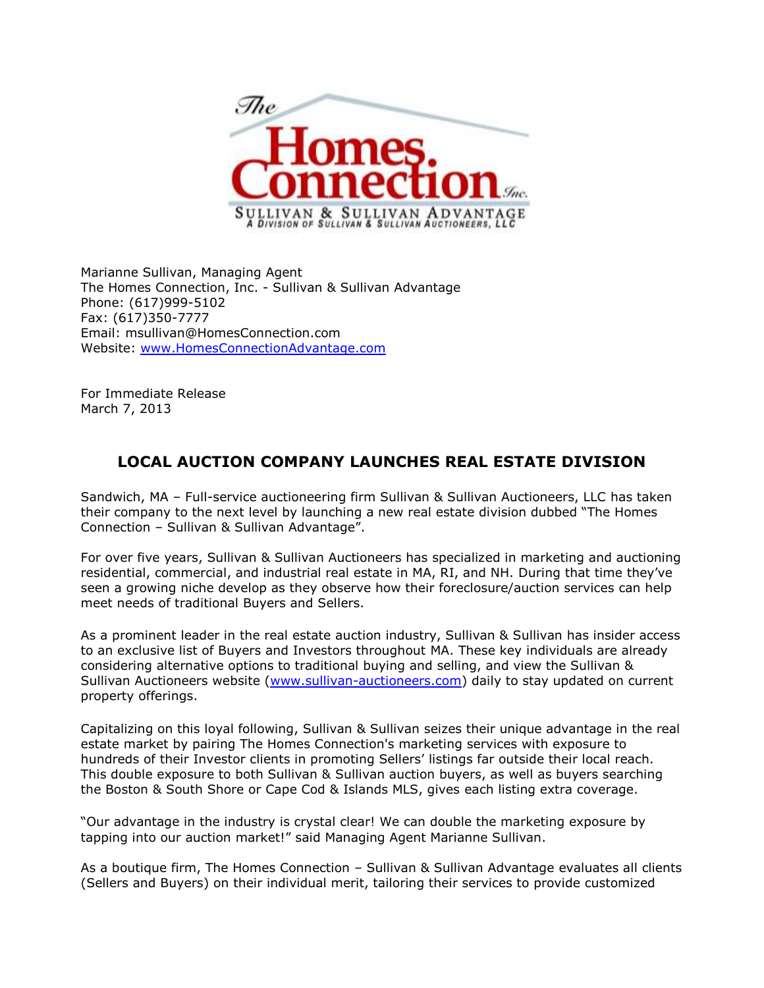

Marianne Sullivan, Managing Agent The Homes Connection, Inc. - Sullivan & Sullivan Advantage Phone: (617)999-5102 Fax: (617)350-7777 Email: msullivan@HomesConnection.com Website: [www.HomesConnectionAdvantage.com](http://www.homesconnectionadvantage.com/)

For Immediate Release March 7, 2013

## **LOCAL AUCTION COMPANY LAUNCHES REAL ESTATE DIVISION**

Sandwich, MA – Full-service auctioneering firm Sullivan & Sullivan Auctioneers, LLC has taken their company to the next level by launching a new real estate division dubbed "The Homes Connection – Sullivan & Sullivan Advantage".

For over five years, Sullivan & Sullivan Auctioneers has specialized in marketing and auctioning residential, commercial, and industrial real estate in MA, RI, and NH. During that time they've seen a growing niche develop as they observe how their foreclosure/auction services can help meet needs of traditional Buyers and Sellers.

As a prominent leader in the real estate auction industry, Sullivan & Sullivan has insider access to an exclusive list of Buyers and Investors throughout MA. These key individuals are already considering alternative options to traditional buying and selling, and view the Sullivan & Sullivan Auctioneers website [\(www.sullivan-auctioneers.com\)](http://www.sullivan-auctioneers.com/) daily to stay updated on current property offerings.

Capitalizing on this loyal following, Sullivan & Sullivan seizes their unique advantage in the real estate market by pairing The Homes Connection's marketing services with exposure to hundreds of their Investor clients in promoting Sellers' listings far outside their local reach. This double exposure to both Sullivan & Sullivan auction buyers, as well as buyers searching the Boston & South Shore or Cape Cod & Islands MLS, gives each listing extra coverage.

"Our advantage in the industry is crystal clear! We can double the marketing exposure by tapping into our auction market!" said Managing Agent Marianne Sullivan.

As a boutique firm, The Homes Connection – Sullivan & Sullivan Advantage evaluates all clients (Sellers and Buyers) on their individual merit, tailoring their services to provide customized